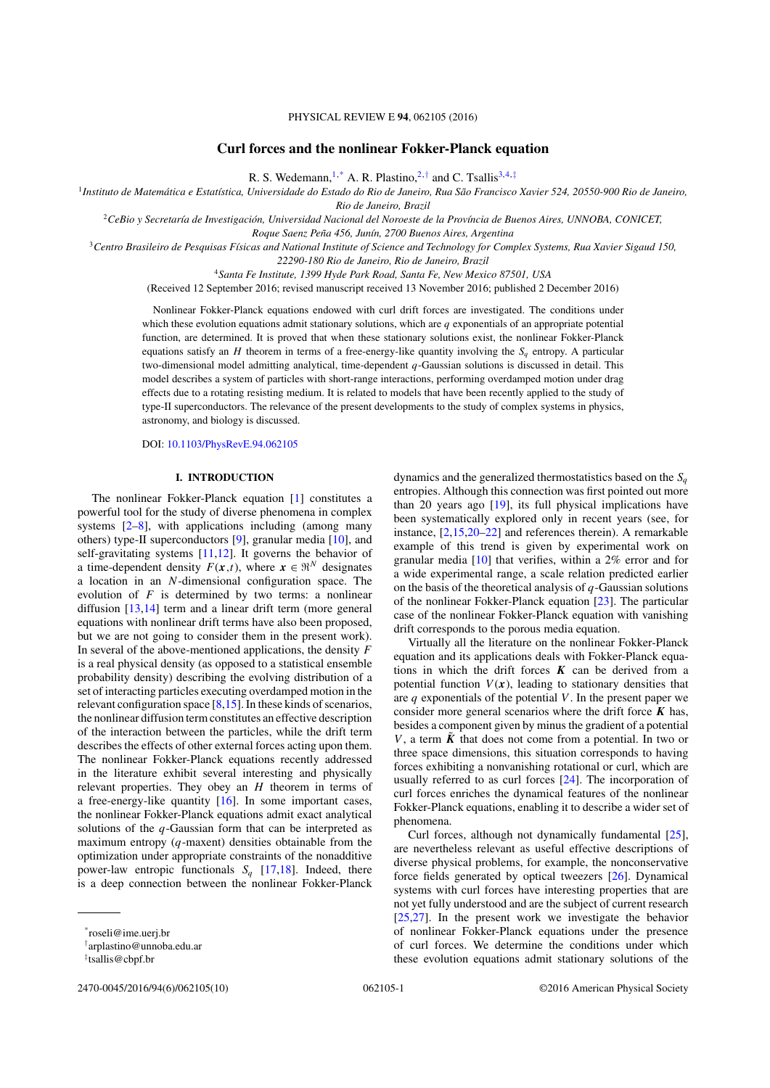# PHYSICAL REVIEW E **94**, 062105 (2016)

# **Curl forces and the nonlinear Fokker-Planck equation**

R. S. Wedemann,1,\* A. R. Plastino,2,*†* and C. Tsallis3,4,*‡*

<sup>1</sup>*Instituto de Matematica e Estat ´ ´ıstica, Universidade do Estado do Rio de Janeiro, Rua Sao Francisco Xavier 524, 20550-900 Rio de Janeiro, ˜*

*Rio de Janeiro, Brazil*

<sup>2</sup>*CeBio y Secretar´ıa de Investigacion, Universidad Nacional del Noroeste de la Prov ´ ´ıncia de Buenos Aires, UNNOBA, CONICET,*

*Roque Saenz Pena 456, Jun ˜ ´ın, 2700 Buenos Aires, Argentina*

<sup>3</sup>*Centro Brasileiro de Pesquisas F´ısicas and National Institute of Science and Technology for Complex Systems, Rua Xavier Sigaud 150,*

*22290-180 Rio de Janeiro, Rio de Janeiro, Brazil*

<sup>4</sup>*Santa Fe Institute, 1399 Hyde Park Road, Santa Fe, New Mexico 87501, USA*

(Received 12 September 2016; revised manuscript received 13 November 2016; published 2 December 2016)

Nonlinear Fokker-Planck equations endowed with curl drift forces are investigated. The conditions under which these evolution equations admit stationary solutions, which are *q* exponentials of an appropriate potential function, are determined. It is proved that when these stationary solutions exist, the nonlinear Fokker-Planck equations satisfy an *H* theorem in terms of a free-energy-like quantity involving the  $S_a$  entropy. A particular two-dimensional model admitting analytical, time-dependent *q*-Gaussian solutions is discussed in detail. This model describes a system of particles with short-range interactions, performing overdamped motion under drag effects due to a rotating resisting medium. It is related to models that have been recently applied to the study of type-II superconductors. The relevance of the present developments to the study of complex systems in physics, astronomy, and biology is discussed.

DOI: [10.1103/PhysRevE.94.062105](https://doi.org/10.1103/PhysRevE.94.062105)

# **I. INTRODUCTION**

The nonlinear Fokker-Planck equation [1] constitutes a powerful tool for the study of diverse phenomena in complex systems  $[2-8]$ , with applications including (among many others) type-II superconductors [9], granular media [10], and self-gravitating systems [11,12]. It governs the behavior of a time-dependent density  $F(x,t)$ , where  $x \in \mathbb{R}^N$  designates a location in an *N*-dimensional configuration space. The evolution of *F* is determined by two terms: a nonlinear diffusion [13,14] term and a linear drift term (more general equations with nonlinear drift terms have also been proposed, but we are not going to consider them in the present work). In several of the above-mentioned applications, the density *F* is a real physical density (as opposed to a statistical ensemble probability density) describing the evolving distribution of a set of interacting particles executing overdamped motion in the relevant configuration space [8,15]. In these kinds of scenarios, the nonlinear diffusion term constitutes an effective description of the interaction between the particles, while the drift term describes the effects of other external forces acting upon them. The nonlinear Fokker-Planck equations recently addressed in the literature exhibit several interesting and physically relevant properties. They obey an *H* theorem in terms of a free-energy-like quantity  $[16]$ . In some important cases, the nonlinear Fokker-Planck equations admit exact analytical solutions of the *q*-Gaussian form that can be interpreted as maximum entropy (*q*-maxent) densities obtainable from the optimization under appropriate constraints of the nonadditive power-law entropic functionals  $S_a$  [17,18]. Indeed, there is a deep connection between the nonlinear Fokker-Planck

2470-0045/2016/94(6)/062105(10) 062105-1 ©2016 American Physical Society

dynamics and the generalized thermostatistics based on the  $S<sub>a</sub>$ entropies. Although this connection was first pointed out more than 20 years ago [19], its full physical implications have been systematically explored only in recent years (see, for instance, [2,15,20–22] and references therein). A remarkable example of this trend is given by experimental work on granular media [10] that verifies, within a 2% error and for a wide experimental range, a scale relation predicted earlier on the basis of the theoretical analysis of *q*-Gaussian solutions of the nonlinear Fokker-Planck equation [23]. The particular case of the nonlinear Fokker-Planck equation with vanishing drift corresponds to the porous media equation.

Virtually all the literature on the nonlinear Fokker-Planck equation and its applications deals with Fokker-Planck equations in which the drift forces *K* can be derived from a potential function  $V(x)$ , leading to stationary densities that are *q* exponentials of the potential *V* . In the present paper we consider more general scenarios where the drift force  $K$  has, besides a component given by minus the gradient of a potential *V*, a term  $\tilde{K}$  that does not come from a potential. In two or three space dimensions, this situation corresponds to having forces exhibiting a nonvanishing rotational or curl, which are usually referred to as curl forces [24]. The incorporation of curl forces enriches the dynamical features of the nonlinear Fokker-Planck equations, enabling it to describe a wider set of phenomena.

Curl forces, although not dynamically fundamental [25], are nevertheless relevant as useful effective descriptions of diverse physical problems, for example, the nonconservative force fields generated by optical tweezers [26]. Dynamical systems with curl forces have interesting properties that are not yet fully understood and are the subject of current research [25,27]. In the present work we investigate the behavior of nonlinear Fokker-Planck equations under the presence of curl forces. We determine the conditions under which these evolution equations admit stationary solutions of the

<sup>\*</sup>roseli@ime.uerj.br

*<sup>†</sup>* arplastino@unnoba.edu.ar

*<sup>‡</sup>* tsallis@cbpf.br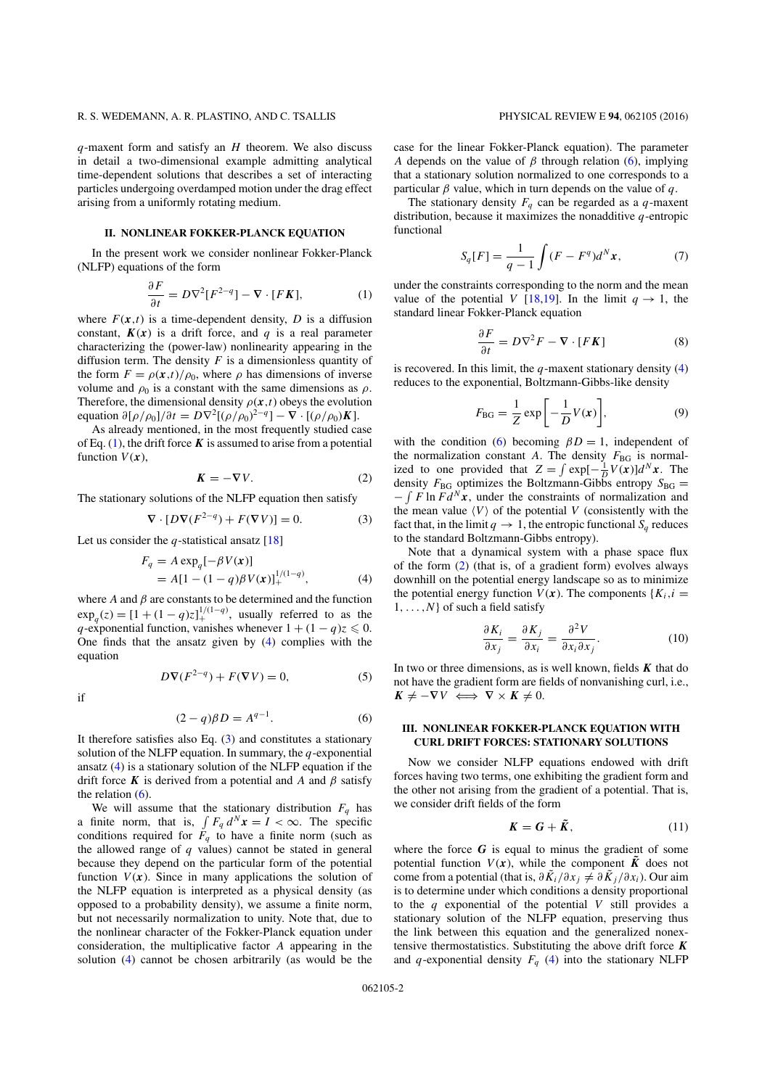*q*-maxent form and satisfy an *H* theorem. We also discuss in detail a two-dimensional example admitting analytical time-dependent solutions that describes a set of interacting particles undergoing overdamped motion under the drag effect arising from a uniformly rotating medium.

# **II. NONLINEAR FOKKER-PLANCK EQUATION**

In the present work we consider nonlinear Fokker-Planck (NLFP) equations of the form

$$
\frac{\partial F}{\partial t} = D\nabla^2 [F^{2-q}] - \nabla \cdot [FK],\tag{1}
$$

where  $F(x,t)$  is a time-dependent density, *D* is a diffusion constant,  $K(x)$  is a drift force, and *q* is a real parameter characterizing the (power-law) nonlinearity appearing in the diffusion term. The density  $F$  is a dimensionless quantity of the form  $F = \rho(x,t)/\rho_0$ , where  $\rho$  has dimensions of inverse volume and  $\rho_0$  is a constant with the same dimensions as  $\rho$ . Therefore, the dimensional density  $\rho(x,t)$  obeys the evolution equation  $\partial[\rho/\rho_0]/\partial t = D\nabla^2[(\rho/\rho_0)^{2-q}] - \nabla \cdot [(\rho/\rho_0)K]$ .

As already mentioned, in the most frequently studied case of Eq.  $(1)$ , the drift force **K** is assumed to arise from a potential function  $V(x)$ ,

$$
K = -\nabla V. \tag{2}
$$

The stationary solutions of the NLFP equation then satisfy

$$
\nabla \cdot [D\nabla (F^{2-q}) + F(\nabla V)] = 0.
$$
 (3)

Let us consider the *q*-statistical ansatz [18]

$$
F_q = A \exp_q[-\beta V(\mathbf{x})] = A[1 - (1 - q)\beta V(\mathbf{x})]_+^{1/(1-q)},
$$
(4)

where  $A$  and  $\beta$  are constants to be determined and the function  $\exp_q(z) = [1 + (1 - q)z]_+^{1/(1-q)}$ , usually referred to as the *q*-exponential function, vanishes whenever  $1 + (1 - q)z \le 0$ . One finds that the ansatz given by (4) complies with the equation

$$
D\nabla(F^{2-q}) + F(\nabla V) = 0,\t(5)
$$

if

$$
(2-q)\beta D = A^{q-1}.
$$
 (6)

It therefore satisfies also Eq. (3) and constitutes a stationary solution of the NLFP equation. In summary, the *q*-exponential ansatz (4) is a stationary solution of the NLFP equation if the drift force **K** is derived from a potential and *A* and  $\beta$  satisfy the relation  $(6)$ .

We will assume that the stationary distribution  $F_q$  has a finite norm, that is,  $\int F_q d^N x = I < \infty$ . The specific conditions required for  $F_q$  to have a finite norm (such as the allowed range of *q* values) cannot be stated in general because they depend on the particular form of the potential function  $V(x)$ . Since in many applications the solution of the NLFP equation is interpreted as a physical density (as opposed to a probability density), we assume a finite norm, but not necessarily normalization to unity. Note that, due to the nonlinear character of the Fokker-Planck equation under consideration, the multiplicative factor *A* appearing in the solution (4) cannot be chosen arbitrarily (as would be the case for the linear Fokker-Planck equation). The parameter *A* depends on the value of  $\beta$  through relation (6), implying that a stationary solution normalized to one corresponds to a particular  $\beta$  value, which in turn depends on the value of  $q$ .

The stationary density  $F_q$  can be regarded as a  $q$ -maxent distribution, because it maximizes the nonadditive *q*-entropic functional

$$
S_q[F] = \frac{1}{q-1} \int (F - F^q) d^N \mathbf{x},\tag{7}
$$

under the constraints corresponding to the norm and the mean value of the potential *V* [18,19]. In the limit  $q \rightarrow 1$ , the standard linear Fokker-Planck equation

$$
\frac{\partial F}{\partial t} = D\nabla^2 F - \nabla \cdot [F\mathbf{K}] \tag{8}
$$

is recovered. In this limit, the *q*-maxent stationary density (4) reduces to the exponential, Boltzmann-Gibbs-like density

$$
F_{\rm BG} = \frac{1}{Z} \exp\left[-\frac{1}{D}V(x)\right],\tag{9}
$$

with the condition (6) becoming  $\beta D = 1$ , independent of the normalization constant *A*. The density  $F_{BG}$  is normalized to one provided that  $Z = \int \exp[-\frac{1}{D}V(x)]d^Nx$ . The density  $F_{BG}$  optimizes the Boltzmann-Gibbs entropy  $S_{BG}$  =  $-\int F \ln F d^N x$ , under the constraints of normalization and the mean value  $\langle V \rangle$  of the potential *V* (consistently with the fact that, in the limit  $q \to 1$ , the entropic functional  $S_q$  reduces to the standard Boltzmann-Gibbs entropy).

Note that a dynamical system with a phase space flux of the form  $(2)$  (that is, of a gradient form) evolves always downhill on the potential energy landscape so as to minimize the potential energy function  $V(x)$ . The components  ${K_i, i =}$ 1*, . . . ,N*} of such a field satisfy

$$
\frac{\partial K_i}{\partial x_j} = \frac{\partial K_j}{\partial x_i} = \frac{\partial^2 V}{\partial x_i \partial x_j}.
$$
 (10)

In two or three dimensions, as is well known, fields *K* that do not have the gradient form are fields of nonvanishing curl, i.e.,  $K \neq -\nabla V \iff \nabla \times K \neq 0.$ 

# **III. NONLINEAR FOKKER-PLANCK EQUATION WITH CURL DRIFT FORCES: STATIONARY SOLUTIONS**

Now we consider NLFP equations endowed with drift forces having two terms, one exhibiting the gradient form and the other not arising from the gradient of a potential. That is, we consider drift fields of the form

$$
K = G + \tilde{K}, \qquad (11)
$$

where the force  $G$  is equal to minus the gradient of some potential function  $V(x)$ , while the component  $\tilde{K}$  does not come from a potential (that is,  $\partial \tilde{K}_i/\partial x_i \neq \partial \tilde{K}_i/\partial x_i$ ). Our aim is to determine under which conditions a density proportional to the *q* exponential of the potential *V* still provides a stationary solution of the NLFP equation, preserving thus the link between this equation and the generalized nonextensive thermostatistics. Substituting the above drift force *K* and *q*-exponential density  $F_q$  (4) into the stationary NLFP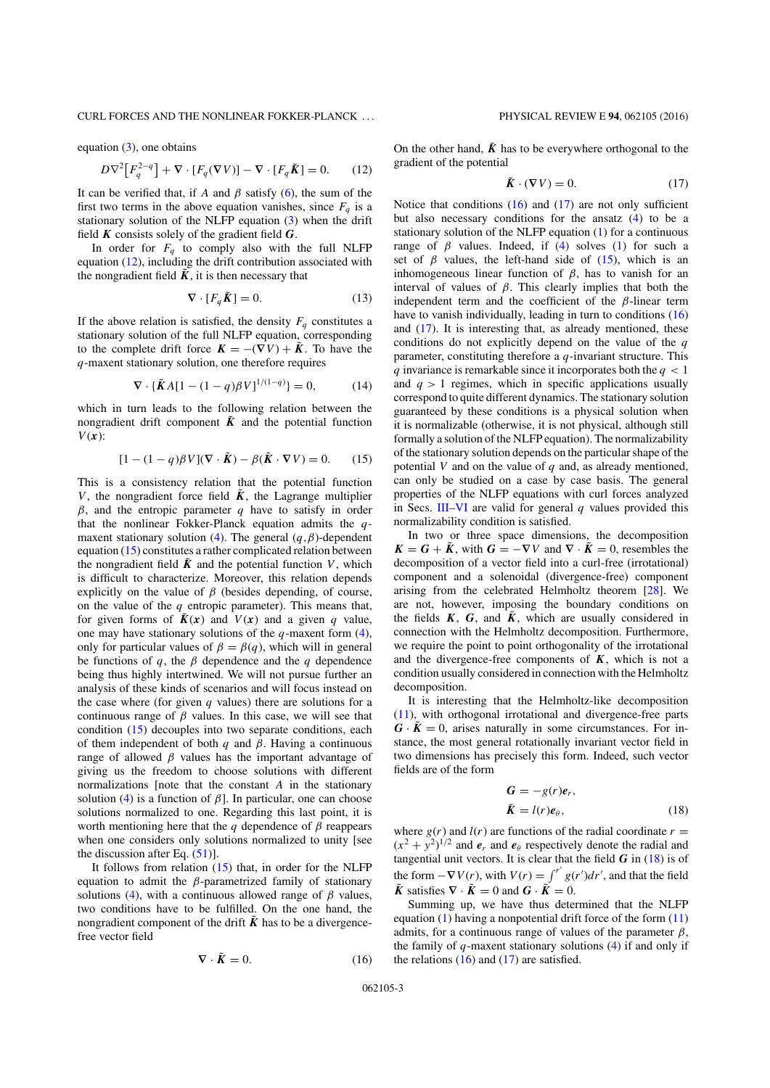### CURL FORCES AND THE NONLINEAR FOKKER-PLANCK . . . PHYSICAL REVIEW E **94**, 062105 (2016)

equation  $(3)$ , one obtains

$$
D\nabla^2 \big[ F_q^{2-q} \big] + \nabla \cdot [F_q(\nabla V)] - \nabla \cdot [F_q \tilde{\pmb{K}}] = 0. \tag{12}
$$

It can be verified that, if *A* and  $\beta$  satisfy (6), the sum of the first two terms in the above equation vanishes, since  $F<sub>a</sub>$  is a stationary solution of the NLFP equation (3) when the drift field *K* consists solely of the gradient field *G*.

In order for  $F_q$  to comply also with the full NLFP equation (12), including the drift contribution associated with the nongradient field  $\tilde{K}$ , it is then necessary that

$$
\nabla \cdot [F_q \tilde{K}] = 0. \tag{13}
$$

If the above relation is satisfied, the density  $F_q$  constitutes a stationary solution of the full NLFP equation, corresponding to the complete drift force  $\mathbf{K} = -(\nabla V) + \tilde{\mathbf{K}}$ . To have the *q*-maxent stationary solution, one therefore requires

$$
\nabla \cdot {\{\tilde{K}A[1 - (1 - q)\beta V]^{1/(1 - q)}\}} = 0, \tag{14}
$$

which in turn leads to the following relation between the nongradient drift component  $\tilde{K}$  and the potential function  $V(x)$ :

$$
[1 - (1 - q)\beta V](\nabla \cdot \tilde{\mathbf{K}}) - \beta(\tilde{\mathbf{K}} \cdot \nabla V) = 0.
$$
 (15)

This is a consistency relation that the potential function *V*, the nongradient force field  $\tilde{K}$ , the Lagrange multiplier  $\beta$ , and the entropic parameter  $q$  have to satisfy in order that the nonlinear Fokker-Planck equation admits the *q*maxent stationary solution (4). The general (*q,*β)-dependent equation (15) constitutes a rather complicated relation between the nongradient field  $\tilde{K}$  and the potential function *V*, which is difficult to characterize. Moreover, this relation depends explicitly on the value of  $\beta$  (besides depending, of course, on the value of the *q* entropic parameter). This means that, for given forms of  $\tilde{K}(x)$  and  $V(x)$  and a given *q* value, one may have stationary solutions of the *q*-maxent form (4), only for particular values of  $\beta = \beta(q)$ , which will in general be functions of  $q$ , the  $\beta$  dependence and the  $q$  dependence being thus highly intertwined. We will not pursue further an analysis of these kinds of scenarios and will focus instead on the case where (for given  $q$  values) there are solutions for a continuous range of  $\beta$  values. In this case, we will see that condition (15) decouples into two separate conditions, each of them independent of both *q* and β. Having a continuous range of allowed  $β$  values has the important advantage of giving us the freedom to choose solutions with different normalizations [note that the constant *A* in the stationary solution (4) is a function of  $\beta$ ]. In particular, one can choose solutions normalized to one. Regarding this last point, it is worth mentioning here that the *q* dependence of  $\beta$  reappears when one considers only solutions normalized to unity [see the discussion after Eq. (51)].

It follows from relation  $(15)$  that, in order for the NLFP equation to admit the  $\beta$ -parametrized family of stationary solutions (4), with a continuous allowed range of  $\beta$  values, two conditions have to be fulfilled. On the one hand, the nongradient component of the drift  $\tilde{K}$  has to be a divergencefree vector field

$$
\nabla \cdot \tilde{K} = 0. \tag{16}
$$

On the other hand,  $\tilde{K}$  has to be everywhere orthogonal to the gradient of the potential

$$
\tilde{\boldsymbol{K}} \cdot (\nabla V) = 0. \tag{17}
$$

Notice that conditions  $(16)$  and  $(17)$  are not only sufficient but also necessary conditions for the ansatz (4) to be a stationary solution of the NLFP equation (1) for a continuous range of  $\beta$  values. Indeed, if (4) solves (1) for such a set of  $\beta$  values, the left-hand side of (15), which is an inhomogeneous linear function of  $\beta$ , has to vanish for an interval of values of  $\beta$ . This clearly implies that both the independent term and the coefficient of the  $\beta$ -linear term have to vanish individually, leading in turn to conditions  $(16)$ and (17). It is interesting that, as already mentioned, these conditions do not explicitly depend on the value of the *q* parameter, constituting therefore a *q*-invariant structure. This *q* invariance is remarkable since it incorporates both the *q <* 1 and  $q > 1$  regimes, which in specific applications usually correspond to quite different dynamics. The stationary solution guaranteed by these conditions is a physical solution when it is normalizable (otherwise, it is not physical, although still formally a solution of the NLFP equation). The normalizability of the stationary solution depends on the particular shape of the potential *V* and on the value of *q* and, as already mentioned, can only be studied on a case by case basis. The general properties of the NLFP equations with curl forces analyzed in Secs. III–VI are valid for general *q* values provided this normalizability condition is satisfied.

In two or three space dimensions, the decomposition  $K = G + \tilde{K}$ , with  $G = -\nabla V$  and  $\nabla \cdot \tilde{K} = 0$ , resembles the decomposition of a vector field into a curl-free (irrotational) component and a solenoidal (divergence-free) component arising from the celebrated Helmholtz theorem [28]. We are not, however, imposing the boundary conditions on the fields  $K$ ,  $G$ , and  $\tilde{K}$ , which are usually considered in connection with the Helmholtz decomposition. Furthermore, we require the point to point orthogonality of the irrotational and the divergence-free components of  $K$ , which is not a condition usually considered in connection with the Helmholtz decomposition.

It is interesting that the Helmholtz-like decomposition (11), with orthogonal irrotational and divergence-free parts  $G \cdot \tilde{K} = 0$ , arises naturally in some circumstances. For instance, the most general rotationally invariant vector field in two dimensions has precisely this form. Indeed, such vector fields are of the form

$$
G = -g(r)e_r,
$$
  
\n
$$
\tilde{K} = l(r)e_\theta,
$$
\n(18)

where  $g(r)$  and  $l(r)$  are functions of the radial coordinate  $r =$  $(x^2 + y^2)^{1/2}$  and  $e_r$  and  $e_\theta$  respectively denote the radial and tangential unit vectors. It is clear that the field  $G$  in  $(18)$  is of the form  $-\nabla V(r)$ , with  $V(r) = \int^{r'} g(r') dr'$ , and that the field  $\tilde{K}$  satisfies  $\nabla \cdot \tilde{K} = 0$  and  $G \cdot \tilde{K} = 0$ .

Summing up, we have thus determined that the NLFP equation  $(1)$  having a nonpotential drift force of the form  $(11)$ admits, for a continuous range of values of the parameter  $\beta$ , the family of *q*-maxent stationary solutions (4) if and only if the relations  $(16)$  and  $(17)$  are satisfied.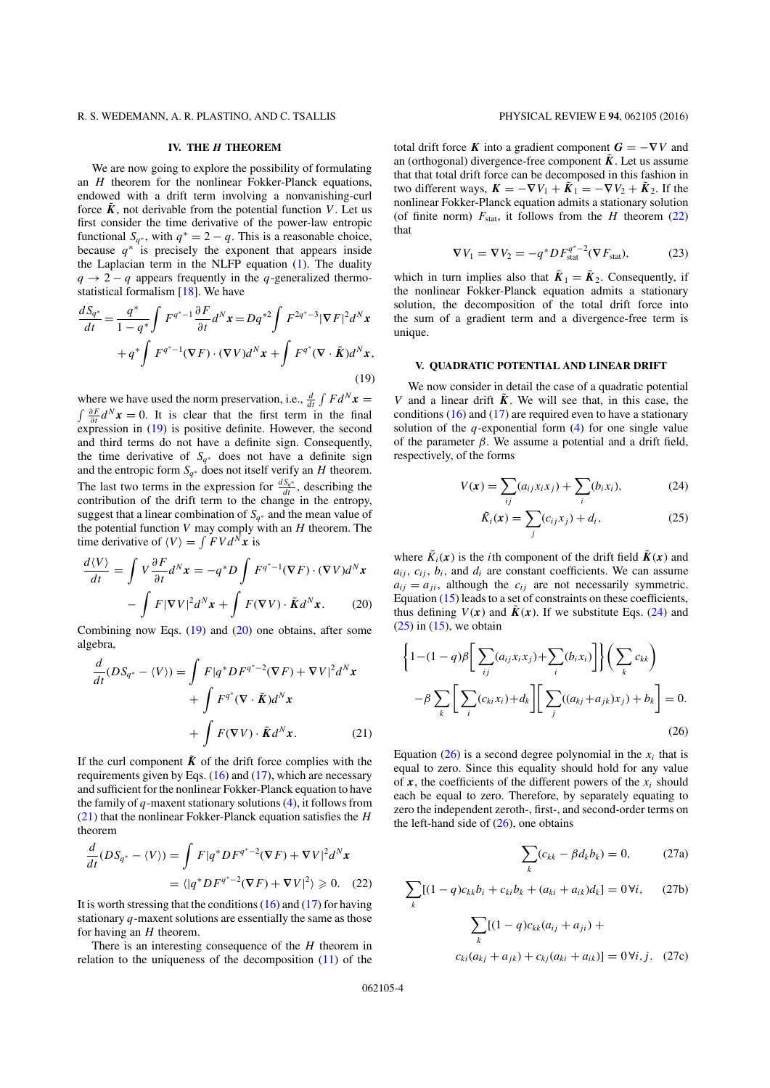# **IV. THE** *H* **THEOREM**

We are now going to explore the possibility of formulating an *H* theorem for the nonlinear Fokker-Planck equations, endowed with a drift term involving a nonvanishing-curl force  $\tilde{K}$ , not derivable from the potential function *V*. Let us first consider the time derivative of the power-law entropic functional  $S_{q^*}$ , with  $q^* = 2 - q$ . This is a reasonable choice, because  $q^*$  is precisely the exponent that appears inside the Laplacian term in the NLFP equation (1). The duality  $q \rightarrow 2 - q$  appears frequently in the *q*-generalized thermostatistical formalism [18]. We have

$$
\frac{dS_{q^*}}{dt} = \frac{q^*}{1 - q^*} \int F^{q^* - 1} \frac{\partial F}{\partial t} d^N x = Dq^{*2} \int F^{2q^* - 3} |\nabla F|^2 d^N x
$$

$$
+ q^* \int F^{q^* - 1}(\nabla F) \cdot (\nabla V) d^N x + \int F^{q^*}(\nabla \cdot \tilde{\mathbf{K}}) d^N x,
$$
\n(19)

where we have used the norm preservation, i.e.,  $\frac{d}{dt} \int F d^N x =$ <br>  $\int \frac{\partial F}{\partial x} d^N x = 0$ . It is clear that the first term in the final  $\int \frac{\partial F}{\partial t} d^N x = 0$ . It is clear that the first term in the final expression in (19) is positive definite. However, the second and third terms do not have a definite sign. Consequently, the time derivative of *Sq*<sup>∗</sup> does not have a definite sign and the entropic form  $S_{q^*}$  does not itself verify an *H* theorem. The last two terms in the expression for  $\frac{dS_q^*}{dt}$ , describing the contribution of the drift term to the change in the entropy, suggest that a linear combination of  $S_{q^*}$  and the mean value of the potential function *V* may comply with an *H* theorem. The time derivative of  $\langle V \rangle = \int FV d^N x$  is

$$
\frac{d\langle V\rangle}{dt} = \int V \frac{\partial F}{\partial t} d^N x = -q^* D \int F^{q^*-1}(\nabla F) \cdot (\nabla V) d^N x
$$

$$
- \int F |\nabla V|^2 d^N x + \int F(\nabla V) \cdot \tilde{\mathbf{K}} d^N x. \tag{20}
$$

Combining now Eqs.  $(19)$  and  $(20)$  one obtains, after some algebra,

$$
\frac{d}{dt}(DS_{q^*} - \langle V \rangle) = \int F|q^*DF^{q^*-2}(\nabla F) + \nabla V|^2 d^N x \n+ \int F^{q^*}(\nabla \cdot \tilde{K}) d^N x \n+ \int F(\nabla V) \cdot \tilde{K} d^N x.
$$
\n(21)

If the curl component  $\tilde{K}$  of the drift force complies with the requirements given by Eqs.  $(16)$  and  $(17)$ , which are necessary and sufficient for the nonlinear Fokker-Planck equation to have the family of *q*-maxent stationary solutions (4), it follows from (21) that the nonlinear Fokker-Planck equation satisfies the *H* theorem

$$
\frac{d}{dt}(DS_{q^*} - \langle V \rangle) = \int F|q^*DF^{q^*-2}(\nabla F) + \nabla V|^2 d^N x
$$

$$
= \langle |q^*DF^{q^*-2}(\nabla F) + \nabla V|^2 \rangle \geq 0. \quad (22)
$$

It is worth stressing that the conditions (16) and (17) for having stationary *q*-maxent solutions are essentially the same as those for having an *H* theorem.

There is an interesting consequence of the *H* theorem in relation to the uniqueness of the decomposition (11) of the total drift force *K* into a gradient component  $G = -\nabla V$  and an (orthogonal) divergence-free component  $\tilde{K}$ . Let us assume that that total drift force can be decomposed in this fashion in two different ways,  $\mathbf{K} = -\nabla V_1 + \tilde{\mathbf{K}}_1 = -\nabla V_2 + \tilde{\mathbf{K}}_2$ . If the nonlinear Fokker-Planck equation admits a stationary solution (of finite norm)  $F_{stat}$ , it follows from the *H* theorem (22) that

$$
\nabla V_1 = \nabla V_2 = -q^* DF_{\text{stat}}^{q^*-2} (\nabla F_{\text{stat}}), \tag{23}
$$

which in turn implies also that  $\tilde{K}_1 = \tilde{K}_2$ . Consequently, if the nonlinear Fokker-Planck equation admits a stationary solution, the decomposition of the total drift force into the sum of a gradient term and a divergence-free term is unique.

### **V. QUADRATIC POTENTIAL AND LINEAR DRIFT**

We now consider in detail the case of a quadratic potential *V* and a linear drift  $\tilde{K}$ . We will see that, in this case, the conditions  $(16)$  and  $(17)$  are required even to have a stationary solution of the  $q$ -exponential form  $(4)$  for one single value of the parameter  $\beta$ . We assume a potential and a drift field, respectively, of the forms

$$
V(\mathbf{x}) = \sum_{ij} (a_{ij} x_i x_j) + \sum_i (b_i x_i),
$$
 (24)

$$
\tilde{K}_i(\mathbf{x}) = \sum_j (c_{ij} x_j) + d_i, \tag{25}
$$

where  $\tilde{K}_i(x)$  is the *i*th component of the drift field  $\tilde{K}(x)$  and  $a_{ij}$ ,  $c_{ij}$ ,  $b_i$ , and  $d_i$  are constant coefficients. We can assume  $a_{ij} = a_{ji}$ , although the  $c_{ij}$  are not necessarily symmetric. Equation (15) leads to a set of constraints on these coefficients, thus defining  $V(x)$  and  $\tilde{K}(x)$ . If we substitute Eqs. (24) and  $(25)$  in  $(15)$ , we obtain

$$
\left\{1 - (1 - q)\beta \bigg[\sum_{ij} (a_{ij}x_ix_j) + \sum_i (b_ix_i)\bigg]\right\} \bigg(\sum_k c_{kk}\bigg)
$$

$$
-\beta \sum_k \bigg[\sum_i (c_{ki}x_i) + d_k\bigg] \bigg[\sum_j ((a_{kj} + a_{jk})x_j) + b_k\bigg] = 0.
$$
(26)

Equation  $(26)$  is a second degree polynomial in the  $x_i$  that is equal to zero. Since this equality should hold for any value of  $x$ , the coefficients of the different powers of the  $x_i$  should each be equal to zero. Therefore, by separately equating to zero the independent zeroth-, first-, and second-order terms on the left-hand side of  $(26)$ , one obtains

$$
\sum_{k} (c_{kk} - \beta d_k b_k) = 0, \qquad (27a)
$$

$$
\sum_{k} [(1 - q)c_{kk}b_i + c_{ki}b_k + (a_{ki} + a_{ik})d_k] = 0 \,\forall i,
$$
 (27b)

$$
\sum_{k} [(1 - q)c_{kk}(a_{ij} + a_{ji}) +
$$

$$
c_{ki}(a_{kj} + a_{jk}) + c_{kj}(a_{ki} + a_{ik})] = 0 \forall i, j. \quad (27c)
$$

062105-4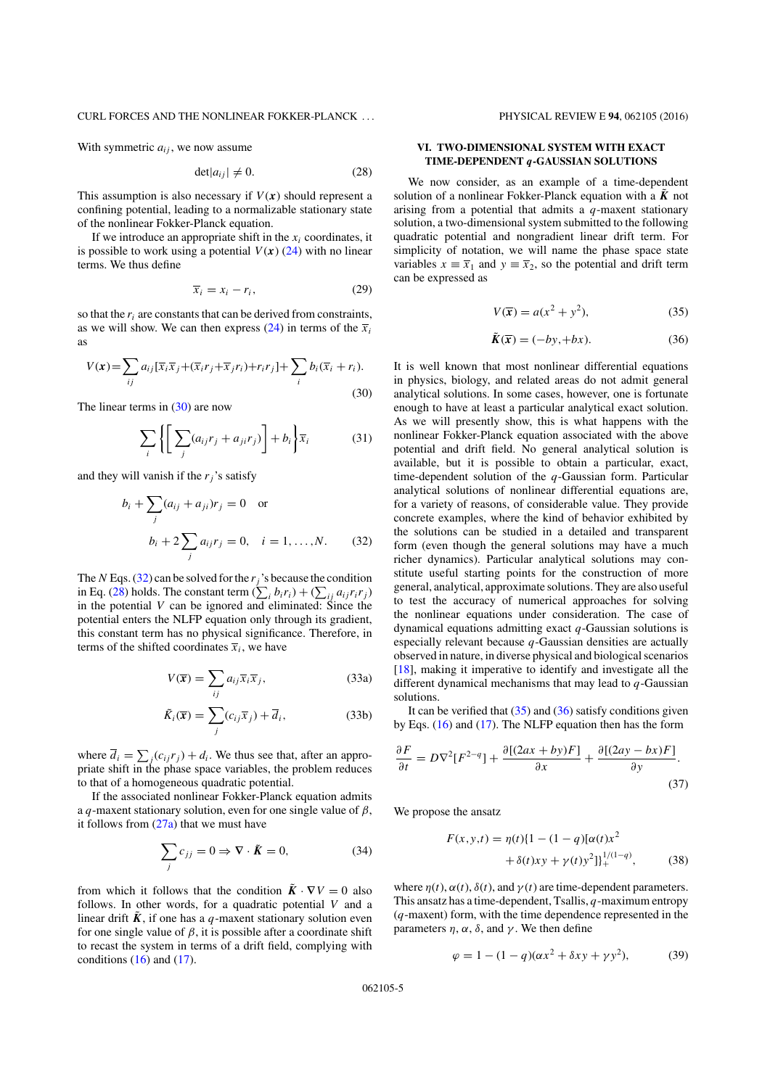# CURL FORCES AND THE NONLINEAR FOKKER-PLANCK . . . PHYSICAL REVIEW E **94**, 062105 (2016)

With symmetric  $a_{ij}$ , we now assume

$$
\det|a_{ij}| \neq 0. \tag{28}
$$

This assumption is also necessary if  $V(x)$  should represent a confining potential, leading to a normalizable stationary state of the nonlinear Fokker-Planck equation.

If we introduce an appropriate shift in the  $x_i$  coordinates, it is possible to work using a potential  $V(x)$  (24) with no linear terms. We thus define

$$
\overline{x}_i = x_i - r_i,\tag{29}
$$

so that the *ri* are constants that can be derived from constraints, as we will show. We can then express  $(24)$  in terms of the  $\overline{x}_i$ as

$$
V(\mathbf{x}) = \sum_{ij} a_{ij} [\overline{x}_i \overline{x}_j + (\overline{x}_i r_j + \overline{x}_j r_i) + r_i r_j] + \sum_i b_i (\overline{x}_i + r_i).
$$
\n(30)

The linear terms in  $(30)$  are now

$$
\sum_{i} \left\{ \left[ \sum_{j} (a_{ij}r_j + a_{ji}r_j) \right] + b_i \right\} \overline{x}_i \tag{31}
$$

and they will vanish if the  $r_i$ 's satisfy

$$
b_i + \sum_j (a_{ij} + a_{ji})r_j = 0
$$
 or  
 $b_i + 2 \sum_j a_{ij}r_j = 0, \quad i = 1, ..., N.$  (32)

The *N* Eqs. (32) can be solved for the  $r_j$ 's because the condition in Eq. (28) holds. The constant term  $(\sum_i b_i r_i) + (\sum_{ij} a_{ij} r_i r_j)$ in the potential *V* can be ignored and eliminated: Since the potential enters the NLFP equation only through its gradient, this constant term has no physical significance. Therefore, in terms of the shifted coordinates  $\overline{x}_i$ , we have

$$
V(\overline{x}) = \sum_{ij} a_{ij} \overline{x}_i \overline{x}_j,
$$
 (33a)

$$
\tilde{K}_i(\overline{x}) = \sum_j (c_{ij}\overline{x}_j) + \overline{d}_i,
$$
\n(33b)

where  $\overline{d}_i = \sum_j (c_{ij} r_j) + d_i$ . We thus see that, after an appropriate shift in the phase space variables, the problem reduces to that of a homogeneous quadratic potential.

If the associated nonlinear Fokker-Planck equation admits a *q*-maxent stationary solution, even for one single value of  $\beta$ , it follows from  $(27a)$  that we must have

$$
\sum_{j} c_{jj} = 0 \Rightarrow \nabla \cdot \tilde{\mathbf{K}} = 0,
$$
\n(34)

from which it follows that the condition  $\tilde{K} \cdot \nabla V = 0$  also follows. In other words, for a quadratic potential *V* and a linear drift  $\tilde{K}$ , if one has a *q*-maxent stationary solution even for one single value of  $\beta$ , it is possible after a coordinate shift to recast the system in terms of a drift field, complying with conditions  $(16)$  and  $(17)$ .

# **VI. TWO-DIMENSIONAL SYSTEM WITH EXACT TIME-DEPENDENT** *q***-GAUSSIAN SOLUTIONS**

We now consider, as an example of a time-dependent solution of a nonlinear Fokker-Planck equation with a  $\ddot{K}$  not arising from a potential that admits a *q*-maxent stationary solution, a two-dimensional system submitted to the following quadratic potential and nongradient linear drift term. For simplicity of notation, we will name the phase space state variables  $x \equiv \overline{x}_1$  and  $y \equiv \overline{x}_2$ , so the potential and drift term can be expressed as

$$
V(\overline{x}) = a(x^2 + y^2),\tag{35}
$$

$$
\tilde{K}(\overline{x}) = (-by, +bx). \tag{36}
$$

It is well known that most nonlinear differential equations in physics, biology, and related areas do not admit general analytical solutions. In some cases, however, one is fortunate enough to have at least a particular analytical exact solution. As we will presently show, this is what happens with the nonlinear Fokker-Planck equation associated with the above potential and drift field. No general analytical solution is available, but it is possible to obtain a particular, exact, time-dependent solution of the *q*-Gaussian form. Particular analytical solutions of nonlinear differential equations are, for a variety of reasons, of considerable value. They provide concrete examples, where the kind of behavior exhibited by the solutions can be studied in a detailed and transparent form (even though the general solutions may have a much richer dynamics). Particular analytical solutions may constitute useful starting points for the construction of more general, analytical, approximate solutions. They are also useful to test the accuracy of numerical approaches for solving the nonlinear equations under consideration. The case of dynamical equations admitting exact *q*-Gaussian solutions is especially relevant because *q*-Gaussian densities are actually observed in nature, in diverse physical and biological scenarios [18], making it imperative to identify and investigate all the different dynamical mechanisms that may lead to *q*-Gaussian solutions.

It can be verified that  $(35)$  and  $(36)$  satisfy conditions given by Eqs. (16) and (17). The NLFP equation then has the form

$$
\frac{\partial F}{\partial t} = D\nabla^2 [F^{2-q}] + \frac{\partial [(2ax + by)F]}{\partial x} + \frac{\partial [(2ay - bx)F]}{\partial y}.
$$
\n(37)

We propose the ansatz

$$
F(x, y, t) = \eta(t)\{1 - (1 - q)[\alpha(t)x^2 + \delta(t)xy + \gamma(t)y^2]\}_{+}^{1/(1-q)},
$$
 (38)

where  $\eta(t)$ ,  $\alpha(t)$ ,  $\delta(t)$ , and  $\gamma(t)$  are time-dependent parameters. This ansatz has a time-dependent, Tsallis, *q*-maximum entropy (*q*-maxent) form, with the time dependence represented in the parameters *n*,  $\alpha$ ,  $\delta$ , and  $\nu$ . We then define

$$
\varphi = 1 - (1 - q)(\alpha x^2 + \delta xy + \gamma y^2),
$$
 (39)

062105-5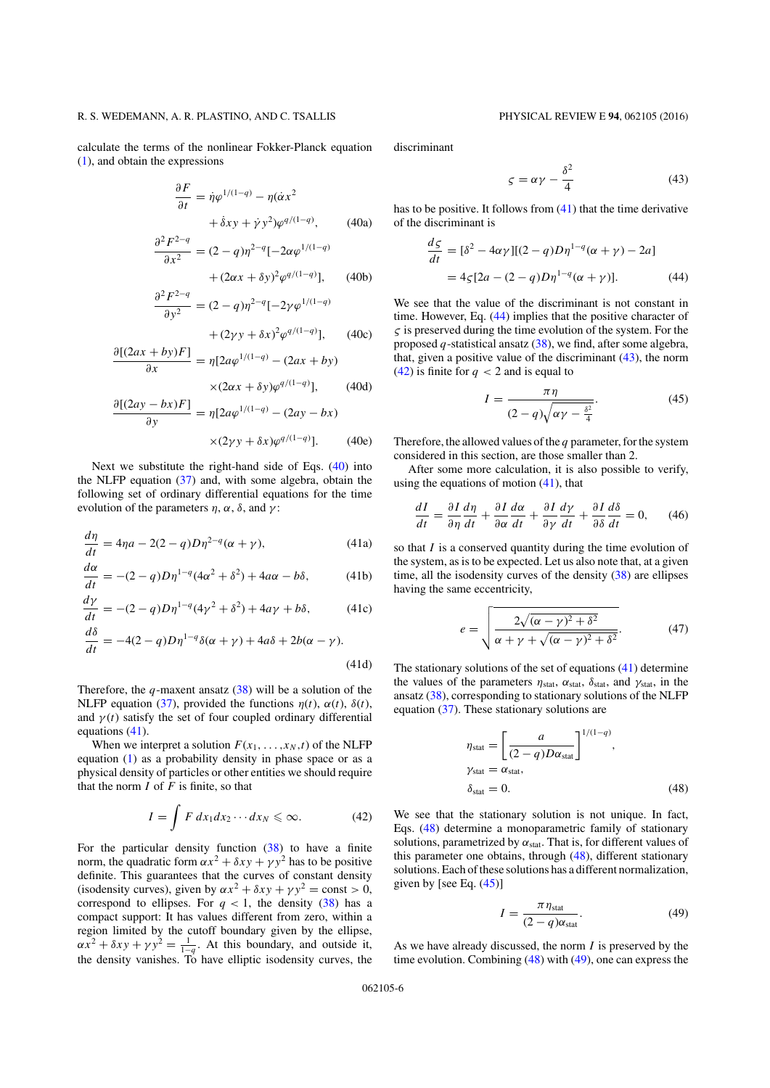calculate the terms of the nonlinear Fokker-Planck equation (1), and obtain the expressions

$$
\frac{\partial F}{\partial t} = \dot{\eta} \varphi^{1/(1-q)} - \eta (\dot{\alpha} x^2 + \dot{\delta} x y + \dot{\gamma} y^2) \varphi^{q/(1-q)},
$$
 (40a)

$$
\frac{\partial^2 F^{2-q}}{\partial x^2} = (2-q)\eta^{2-q}[-2\alpha\varphi^{1/(1-q)}] + (2\alpha x + \delta y)^2 \varphi^{q/(1-q)}].
$$
 (40b)

+ 
$$
(2\alpha x + \delta y)^2 \varphi^{q/(1-q)}\Big]
$$
, (40b)  

$$
\frac{\partial^2 F^{2-q}}{\partial y^2} = (2-q)\eta^{2-q}[-2\gamma \varphi^{1/(1-q)}]
$$

$$
+(2\gamma y+\delta x)^2\varphi^{q/(1-q)}],\qquad(40c)
$$

$$
\frac{\partial [(2ax + by)F]}{\partial x} = \eta [2a\varphi^{1/(1-q)} - (2ax + by) \times (2\alpha x + \delta y)\varphi^{q/(1-q)}], \quad (40d)
$$

$$
\frac{\partial [(2ay - bx)F]}{\partial y} = \eta [2a\varphi^{1/(1-q)} - (2ay - bx) \times (2\gamma y + \delta x)\varphi^{q/(1-q)}].
$$
 (40e)

Next we substitute the right-hand side of Eqs. (40) into the NLFP equation (37) and, with some algebra, obtain the following set of ordinary differential equations for the time evolution of the parameters  $n, \alpha, \delta$ , and  $\nu$ :

$$
\frac{d\eta}{dt} = 4\eta a - 2(2 - q)D\eta^{2-q}(\alpha + \gamma),\tag{41a}
$$

$$
\frac{d\alpha}{dt} = -(2 - q)D\eta^{1-q}(4\alpha^2 + \delta^2) + 4a\alpha - b\delta,
$$
 (41b)

$$
\frac{d\gamma}{dt} = -(2 - q)D\eta^{1-q}(4\gamma^2 + \delta^2) + 4a\gamma + b\delta,
$$
 (41c)

$$
\frac{d\delta}{dt} = -4(2-q)D\eta^{1-q}\delta(\alpha+\gamma) + 4a\delta + 2b(\alpha-\gamma).
$$
\n(41d)

Therefore, the *q*-maxent ansatz (38) will be a solution of the NLFP equation (37), provided the functions  $\eta(t)$ ,  $\alpha(t)$ ,  $\delta(t)$ , and  $\gamma(t)$  satisfy the set of four coupled ordinary differential equations (41).

When we interpret a solution  $F(x_1, \ldots, x_N, t)$  of the NLFP equation (1) as a probability density in phase space or as a physical density of particles or other entities we should require that the norm  $\overline{I}$  of  $\overline{F}$  is finite, so that

$$
I = \int F dx_1 dx_2 \cdots dx_N \leq \infty.
$$
 (42)

For the particular density function (38) to have a finite norm, the quadratic form  $\alpha x^2 + \delta xy + \gamma y^2$  has to be positive definite. This guarantees that the curves of constant density (isodensity curves), given by  $\alpha x^2 + \delta xy + \gamma y^2 = \text{const} > 0$ , correspond to ellipses. For  $q < 1$ , the density (38) has a compact support: It has values different from zero, within a region limited by the cutoff boundary given by the ellipse,  $\alpha x^2 + \delta xy + \gamma y^2 = \frac{1}{1-q}$ . At this boundary, and outside it, the density vanishes. To have elliptic isodensity curves, the

discriminant

$$
\zeta = \alpha \gamma - \frac{\delta^2}{4} \tag{43}
$$

has to be positive. It follows from (41) that the time derivative of the discriminant is

$$
\frac{d\zeta}{dt} = [\delta^2 - 4\alpha\gamma][(2 - q)D\eta^{1 - q}(\alpha + \gamma) - 2a]
$$
  
= 4\zeta[2a - (2 - q)D\eta^{1 - q}(\alpha + \gamma)]. (44)

We see that the value of the discriminant is not constant in time. However, Eq. (44) implies that the positive character of  $\varsigma$  is preserved during the time evolution of the system. For the proposed *q*-statistical ansatz (38), we find, after some algebra, that, given a positive value of the discriminant  $(43)$ , the norm (42) is finite for  $q < 2$  and is equal to

$$
I = \frac{\pi \eta}{(2 - q)\sqrt{\alpha \gamma - \frac{\delta^2}{4}}}.
$$
\n(45)

Therefore, the allowed values of the *q* parameter, for the system considered in this section, are those smaller than 2.

After some more calculation, it is also possible to verify, using the equations of motion  $(41)$ , that

$$
\frac{dI}{dt} = \frac{\partial I}{\partial \eta} \frac{d\eta}{dt} + \frac{\partial I}{\partial \alpha} \frac{d\alpha}{dt} + \frac{\partial I}{\partial \gamma} \frac{d\gamma}{dt} + \frac{\partial I}{\partial \delta} \frac{d\delta}{dt} = 0, \quad (46)
$$

so that *I* is a conserved quantity during the time evolution of the system, as is to be expected. Let us also note that, at a given time, all the isodensity curves of the density  $(38)$  are ellipses having the same eccentricity,

$$
e = \sqrt{\frac{2\sqrt{(\alpha - \gamma)^2 + \delta^2}}{\alpha + \gamma + \sqrt{(\alpha - \gamma)^2 + \delta^2}}}.
$$
 (47)

The stationary solutions of the set of equations (41) determine the values of the parameters  $\eta_{stat}$ ,  $\alpha_{stat}$ ,  $\delta_{stat}$ , and  $\gamma_{stat}$ , in the ansatz (38), corresponding to stationary solutions of the NLFP equation (37). These stationary solutions are

$$
\eta_{\text{stat}} = \left[ \frac{a}{(2 - q)D\alpha_{\text{stat}}} \right]^{1/(1 - q)},
$$
  
\n
$$
\gamma_{\text{stat}} = \alpha_{\text{stat}},
$$
  
\n
$$
\delta_{\text{stat}} = 0.
$$
 (48)

We see that the stationary solution is not unique. In fact, Eqs. (48) determine a monoparametric family of stationary solutions, parametrized by  $\alpha_{stat}$ . That is, for different values of this parameter one obtains, through (48), different stationary solutions. Each of these solutions has a different normalization, given by [see Eq.  $(45)$ ]

$$
I = \frac{\pi \eta_{\text{stat}}}{(2 - q)\alpha_{\text{stat}}}.
$$
 (49)

As we have already discussed, the norm *I* is preserved by the time evolution. Combining (48) with (49), one can express the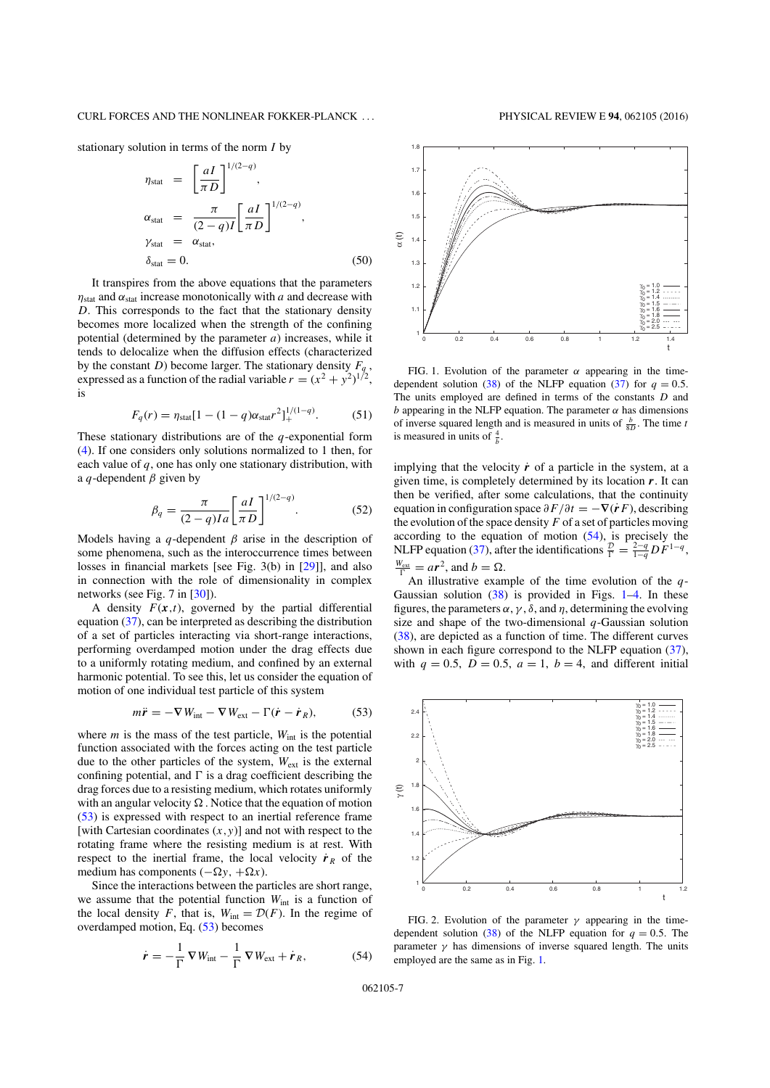stationary solution in terms of the norm *I* by

$$
\eta_{\text{stat}} = \left[\frac{aI}{\pi D}\right]^{1/(2-q)},
$$
\n
$$
\alpha_{\text{stat}} = \frac{\pi}{(2-q)I} \left[\frac{aI}{\pi D}\right]^{1/(2-q)},
$$
\n
$$
\gamma_{\text{stat}} = \alpha_{\text{stat}},
$$
\n
$$
\delta_{\text{stat}} = 0.
$$
\n(50)

It transpires from the above equations that the parameters  $\eta_{\text{stat}}$  and  $\alpha_{\text{stat}}$  increase monotonically with *a* and decrease with *D*. This corresponds to the fact that the stationary density becomes more localized when the strength of the confining potential (determined by the parameter *a*) increases, while it tends to delocalize when the diffusion effects (characterized by the constant *D*) become larger. The stationary density  $F_q$ , expressed as a function of the radial variable  $r = (x^2 + y^2)^{1/2}$ , is

$$
F_q(r) = \eta_{\text{stat}} [1 - (1 - q) \alpha_{\text{stat}} r^2]_+^{1/(1-q)}.
$$
 (51)

These stationary distributions are of the *q*-exponential form (4). If one considers only solutions normalized to 1 then, for each value of *q*, one has only one stationary distribution, with a *q*-dependent  $\beta$  given by

$$
\beta_q = \frac{\pi}{(2-q)Ia} \left[ \frac{aI}{\pi D} \right]^{1/(2-q)}.
$$
 (52)

Models having a *q*-dependent  $\beta$  arise in the description of some phenomena, such as the interoccurrence times between losses in financial markets [see Fig. 3(b) in [29]], and also in connection with the role of dimensionality in complex networks (see Fig. 7 in [30]).

A density  $F(x,t)$ , governed by the partial differential equation (37), can be interpreted as describing the distribution of a set of particles interacting via short-range interactions, performing overdamped motion under the drag effects due to a uniformly rotating medium, and confined by an external harmonic potential. To see this, let us consider the equation of motion of one individual test particle of this system

$$
m\ddot{\mathbf{r}} = -\nabla W_{\text{int}} - \nabla W_{\text{ext}} - \Gamma(\dot{\mathbf{r}} - \dot{\mathbf{r}}_R),
$$
 (53)

where  $m$  is the mass of the test particle,  $W_{int}$  is the potential function associated with the forces acting on the test particle due to the other particles of the system, *W*ext is the external confining potential, and  $\Gamma$  is a drag coefficient describing the drag forces due to a resisting medium, which rotates uniformly with an angular velocity  $\Omega$ . Notice that the equation of motion (53) is expressed with respect to an inertial reference frame [with Cartesian coordinates  $(x, y)$ ] and not with respect to the rotating frame where the resisting medium is at rest. With respect to the inertial frame, the local velocity  $\dot{r}_R$  of the medium has components  $(-\Omega y, +\Omega x)$ .

Since the interactions between the particles are short range, we assume that the potential function  $W_{int}$  is a function of the local density *F*, that is,  $W_{int} = \mathcal{D}(F)$ . In the regime of overdamped motion, Eq. (53) becomes

$$
\dot{\boldsymbol{r}} = -\frac{1}{\Gamma} \nabla W_{\text{int}} - \frac{1}{\Gamma} \nabla W_{\text{ext}} + \dot{\boldsymbol{r}}_{R},
$$
(54)



FIG. 1. Evolution of the parameter  $\alpha$  appearing in the timedependent solution (38) of the NLFP equation (37) for  $q = 0.5$ . The units employed are defined in terms of the constants *D* and *b* appearing in the NLFP equation. The parameter  $\alpha$  has dimensions of inverse squared length and is measured in units of  $\frac{b}{8D}$ . The time *t* is measured in units of  $\frac{4}{b}$ .

implying that the velocity  $\dot{r}$  of a particle in the system, at a given time, is completely determined by its location *r*. It can then be verified, after some calculations, that the continuity equation in configuration space  $\partial F/\partial t = -\nabla(\dot{r}F)$ , describing the evolution of the space density  $F$  of a set of particles moving according to the equation of motion  $(54)$ , is precisely the NLFP equation (37), after the identifications  $\frac{\mathcal{D}}{\Gamma} = \frac{2-q}{1-q} DF^{1-q}$ ,  $\frac{W_{ext}}{\Gamma} = a r^2$ , and  $b = \Omega$ .

An illustrative example of the time evolution of the *q*-Gaussian solution  $(38)$  is provided in Figs. 1–4. In these figures, the parameters  $\alpha$ ,  $\gamma$ ,  $\delta$ , and  $\eta$ , determining the evolving size and shape of the two-dimensional *q*-Gaussian solution (38), are depicted as a function of time. The different curves shown in each figure correspond to the NLFP equation (37), with  $q = 0.5$ ,  $D = 0.5$ ,  $a = 1$ ,  $b = 4$ , and different initial



FIG. 2. Evolution of the parameter  $\gamma$  appearing in the timedependent solution (38) of the NLFP equation for  $q = 0.5$ . The parameter  $\gamma$  has dimensions of inverse squared length. The units employed are the same as in Fig. 1.

062105-7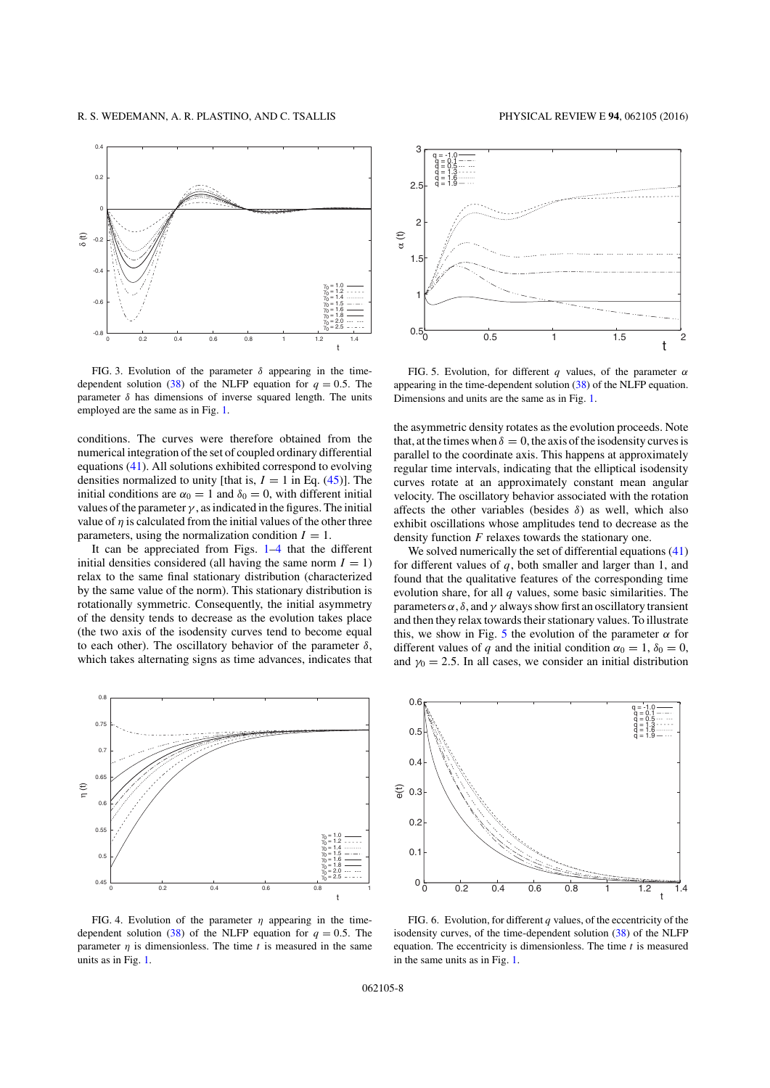

FIG. 3. Evolution of the parameter  $\delta$  appearing in the timedependent solution (38) of the NLFP equation for  $q = 0.5$ . The parameter  $\delta$  has dimensions of inverse squared length. The units employed are the same as in Fig. 1.

conditions. The curves were therefore obtained from the numerical integration of the set of coupled ordinary differential equations (41). All solutions exhibited correspond to evolving densities normalized to unity [that is,  $I = 1$  in Eq. (45)]. The initial conditions are  $\alpha_0 = 1$  and  $\delta_0 = 0$ , with different initial values of the parameter  $\gamma$ , as indicated in the figures. The initial value of  $\eta$  is calculated from the initial values of the other three parameters, using the normalization condition  $I = 1$ .

It can be appreciated from Figs. 1–4 that the different initial densities considered (all having the same norm  $I = 1$ ) relax to the same final stationary distribution (characterized by the same value of the norm). This stationary distribution is rotationally symmetric. Consequently, the initial asymmetry of the density tends to decrease as the evolution takes place (the two axis of the isodensity curves tend to become equal to each other). The oscillatory behavior of the parameter  $\delta$ , which takes alternating signs as time advances, indicates that



FIG. 4. Evolution of the parameter  $\eta$  appearing in the timedependent solution (38) of the NLFP equation for  $q = 0.5$ . The parameter  $\eta$  is dimensionless. The time  $t$  is measured in the same units as in Fig. 1.



FIG. 5. Evolution, for different *q* values, of the parameter  $\alpha$ appearing in the time-dependent solution (38) of the NLFP equation. Dimensions and units are the same as in Fig. 1.

the asymmetric density rotates as the evolution proceeds. Note that, at the times when  $\delta = 0$ , the axis of the isodensity curves is parallel to the coordinate axis. This happens at approximately regular time intervals, indicating that the elliptical isodensity curves rotate at an approximately constant mean angular velocity. The oscillatory behavior associated with the rotation affects the other variables (besides  $\delta$ ) as well, which also exhibit oscillations whose amplitudes tend to decrease as the density function *F* relaxes towards the stationary one.

We solved numerically the set of differential equations (41) for different values of *q*, both smaller and larger than 1, and found that the qualitative features of the corresponding time evolution share, for all *q* values, some basic similarities. The parameters  $\alpha$ ,  $\delta$ , and  $\gamma$  always show first an oscillatory transient and then they relax towards their stationary values. To illustrate this, we show in Fig. 5 the evolution of the parameter  $\alpha$  for different values of *q* and the initial condition  $\alpha_0 = 1$ ,  $\delta_0 = 0$ , and  $\gamma_0 = 2.5$ . In all cases, we consider an initial distribution



FIG. 6. Evolution, for different  $q$  values, of the eccentricity of the isodensity curves, of the time-dependent solution (38) of the NLFP equation. The eccentricity is dimensionless. The time *t* is measured in the same units as in Fig. 1.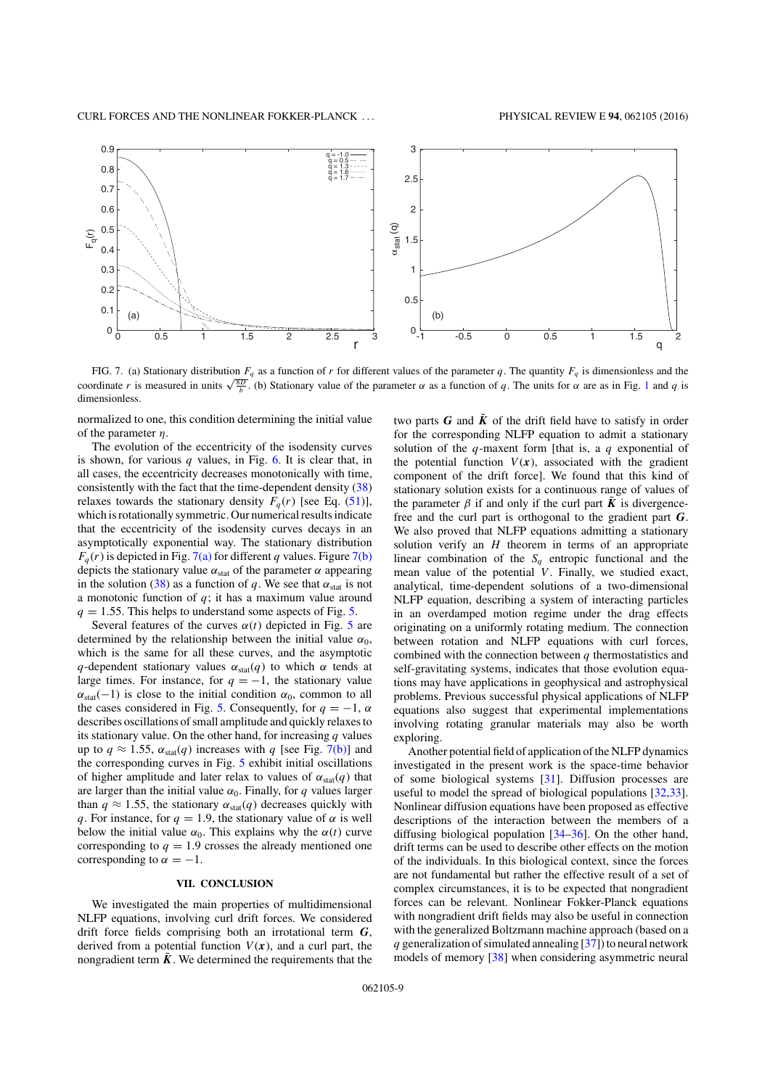

FIG. 7. (a) Stationary distribution  $F_q$  as a function of *r* for different values of the parameter *q*. The quantity  $F_q$  is dimensionless and the coordinate *r* is measured in units  $\sqrt{\frac{8D}{b}}$ . (b) Stationary value of the parameter  $\alpha$  as a function of *q*. The units for  $\alpha$  are as in Fig. 1 and *q* is dimensionless.

normalized to one, this condition determining the initial value of the parameter  $\eta$ .

The evolution of the eccentricity of the isodensity curves is shown, for various  $q$  values, in Fig. 6. It is clear that, in all cases, the eccentricity decreases monotonically with time, consistently with the fact that the time-dependent density (38) relaxes towards the stationary density  $F_q(r)$  [see Eq. (51)], which is rotationally symmetric. Our numerical results indicate that the eccentricity of the isodensity curves decays in an asymptotically exponential way. The stationary distribution  $F_q(r)$  is depicted in Fig. 7(a) for different *q* values. Figure 7(b) depicts the stationary value  $\alpha_{stat}$  of the parameter  $\alpha$  appearing in the solution (38) as a function of *q*. We see that  $\alpha_{stat}$  is not a monotonic function of *q*; it has a maximum value around  $q = 1.55$ . This helps to understand some aspects of Fig. 5.

Several features of the curves  $\alpha(t)$  depicted in Fig. 5 are determined by the relationship between the initial value  $\alpha_0$ , which is the same for all these curves, and the asymptotic *q*-dependent stationary values  $\alpha_{stat}(q)$  to which  $\alpha$  tends at large times. For instance, for  $q = -1$ , the stationary value  $\alpha_{stat}(-1)$  is close to the initial condition  $\alpha_0$ , common to all the cases considered in Fig. 5. Consequently, for  $q = -1$ ,  $\alpha$ describes oscillations of small amplitude and quickly relaxes to its stationary value. On the other hand, for increasing *q* values up to  $q \approx 1.55$ ,  $\alpha_{stat}(q)$  increases with  $q$  [see Fig. 7(b)] and the corresponding curves in Fig. 5 exhibit initial oscillations of higher amplitude and later relax to values of  $\alpha_{stat}(q)$  that are larger than the initial value  $\alpha_0$ . Finally, for *q* values larger than  $q \approx 1.55$ , the stationary  $\alpha_{stat}(q)$  decreases quickly with *q*. For instance, for  $q = 1.9$ , the stationary value of  $\alpha$  is well below the initial value  $\alpha_0$ . This explains why the  $\alpha(t)$  curve corresponding to  $q = 1.9$  crosses the already mentioned one corresponding to  $\alpha = -1$ .

# **VII. CONCLUSION**

We investigated the main properties of multidimensional NLFP equations, involving curl drift forces. We considered drift force fields comprising both an irrotational term *G*, derived from a potential function  $V(x)$ , and a curl part, the nongradient term  $\tilde{K}$ . We determined the requirements that the two parts  $G$  and  $\tilde{K}$  of the drift field have to satisfy in order for the corresponding NLFP equation to admit a stationary solution of the *q*-maxent form [that is, a *q* exponential of the potential function  $V(x)$ , associated with the gradient component of the drift force]. We found that this kind of stationary solution exists for a continuous range of values of the parameter  $\beta$  if and only if the curl part  $\tilde{K}$  is divergencefree and the curl part is orthogonal to the gradient part *G*. We also proved that NLFP equations admitting a stationary solution verify an *H* theorem in terms of an appropriate linear combination of the  $S_q$  entropic functional and the mean value of the potential *V*. Finally, we studied exact, analytical, time-dependent solutions of a two-dimensional NLFP equation, describing a system of interacting particles in an overdamped motion regime under the drag effects originating on a uniformly rotating medium. The connection between rotation and NLFP equations with curl forces, combined with the connection between *q* thermostatistics and self-gravitating systems, indicates that those evolution equations may have applications in geophysical and astrophysical problems. Previous successful physical applications of NLFP equations also suggest that experimental implementations involving rotating granular materials may also be worth exploring.

Another potential field of application of the NLFP dynamics investigated in the present work is the space-time behavior of some biological systems [31]. Diffusion processes are useful to model the spread of biological populations [32,33]. Nonlinear diffusion equations have been proposed as effective descriptions of the interaction between the members of a diffusing biological population [34–36]. On the other hand, drift terms can be used to describe other effects on the motion of the individuals. In this biological context, since the forces are not fundamental but rather the effective result of a set of complex circumstances, it is to be expected that nongradient forces can be relevant. Nonlinear Fokker-Planck equations with nongradient drift fields may also be useful in connection with the generalized Boltzmann machine approach (based on a *q* generalization of simulated annealing [37]) to neural network models of memory [38] when considering asymmetric neural